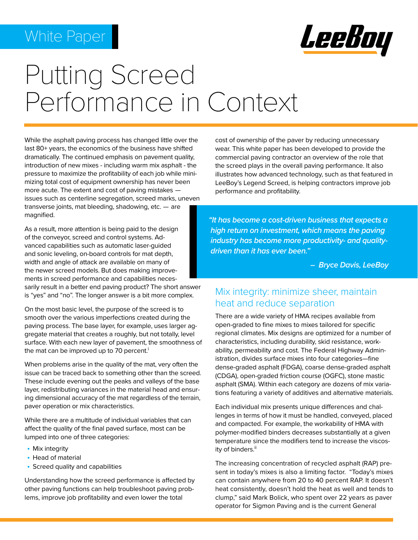

# Putting Screed Performance in Context

While the asphalt paving process has changed little over the last 80+ years, the economics of the business have shifted dramatically. The continued emphasis on pavement quality, introduction of new mixes - including warm mix asphalt - the pressure to maximize the profitability of each job while minimizing total cost of equipment ownership has never been more acute. The extent and cost of paving mistakes issues such as centerline segregation, screed marks, uneven transverse joints, mat bleeding, shadowing, etc. — are magnified.

As a result, more attention is being paid to the design of the conveyor, screed and control systems. Advanced capabilities such as automatic laser-guided and sonic leveling, on-board controls for mat depth, width and angle of attack are available on many of the newer screed models. But does making improvements in screed performance and capabilities necessarily result in a better end paving product? The short answer is "yes" and "no". The longer answer is a bit more complex.

On the most basic level, the purpose of the screed is to smooth over the various imperfections created during the paving process. The base layer, for example, uses larger aggregate material that creates a roughly, but not totally, level surface. With each new layer of pavement, the smoothness of the mat can be improved up to 70 percent. $^{\rm i}$ 

When problems arise in the quality of the mat, very often the issue can be traced back to something other than the screed. These include evening out the peaks and valleys of the base layer, redistributing variances in the material head and ensuring dimensional accuracy of the mat regardless of the terrain, paver operation or mix characteristics.

While there are a multitude of individual variables that can affect the quality of the final paved surface, most can be lumped into one of three categories:

- Mix integrity
- Head of material
- Screed quality and capabilities

Understanding how the screed performance is affected by other paving functions can help troubleshoot paving problems, improve job profitability and even lower the total

cost of ownership of the paver by reducing unnecessary wear. This white paper has been developed to provide the commercial paving contractor an overview of the role that the screed plays in the overall paving performance. It also illustrates how advanced technology, such as that featured in LeeBoy's Legend Screed, is helping contractors improve job performance and profitability.

*"It has become a cost-driven business that expects a high return on investment, which means the paving industry has become more productivity- and quality driven than it has ever been."* 

 *– Bryce Davis, LeeBoy* 

#### Mix integrity: minimize sheer, maintain heat and reduce separation

There are a wide variety of HMA recipes available from open-graded to fine mixes to mixes tailored for specific regional climates. Mix designs are optimized for a number of characteristics, including durability, skid resistance, workability, permeability and cost. The Federal Highway Administration, divides surface mixes into four categories—fine dense-graded asphalt (FDGA), coarse dense-graded asphalt (CDGA), open-graded friction course (OGFC), stone mastic asphalt (SMA). Within each category are dozens of mix variations featuring a variety of additives and alternative materials.

Each individual mix presents unique differences and challenges in terms of how it must be handled, conveyed, placed and compacted. For example, the workability of HMA with polymer-modified binders decreases substantially at a given temperature since the modifiers tend to increase the viscosity of binders.<sup>ii</sup>

The increasing concentration of recycled asphalt (RAP) present in today's mixes is also a limiting factor. "Today's mixes can contain anywhere from 20 to 40 percent RAP. It doesn't heat consistently, doesn't hold the heat as well and tends to clump," said Mark Bolick, who spent over 22 years as paver operator for Sigmon Paving and is the current General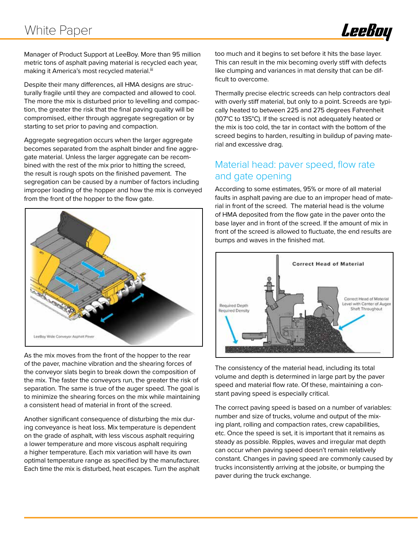

Manager of Product Support at LeeBoy. More than 95 million metric tons of asphalt paving material is recycled each year, making it America's most recycled material.iii

Despite their many differences, all HMA designs are structurally fragile until they are compacted and allowed to cool. The more the mix is disturbed prior to levelling and compaction, the greater the risk that the final paving quality will be compromised, either through aggregate segregation or by starting to set prior to paving and compaction.

Aggregate segregation occurs when the larger aggregate becomes separated from the asphalt binder and fine aggregate material. Unless the larger aggregate can be recombined with the rest of the mix prior to hitting the screed, the result is rough spots on the finished pavement. The segregation can be caused by a number of factors including improper loading of the hopper and how the mix is conveyed from the front of the hopper to the flow gate.



As the mix moves from the front of the hopper to the rear of the paver, machine vibration and the shearing forces of the conveyor slats begin to break down the composition of the mix. The faster the conveyors run, the greater the risk of separation. The same is true of the auger speed. The goal is to minimize the shearing forces on the mix while maintaining a consistent head of material in front of the screed.

Another significant consequence of disturbing the mix during conveyance is heat loss. Mix temperature is dependent on the grade of asphalt, with less viscous asphalt requiring a lower temperature and more viscous asphalt requiring a higher temperature. Each mix variation will have its own optimal temperature range as specified by the manufacturer. Each time the mix is disturbed, heat escapes. Turn the asphalt too much and it begins to set before it hits the base layer. This can result in the mix becoming overly stiff with defects like clumping and variances in mat density that can be difficult to overcome.

Thermally precise electric screeds can help contractors deal with overly stiff material, but only to a point. Screeds are typically heated to between 225 and 275 degrees Fahrenheit (107°C to 135°C). If the screed is not adequately heated or the mix is too cold, the tar in contact with the bottom of the screed begins to harden, resulting in buildup of paving material and excessive drag.

#### Material head: paver speed, flow rate and gate opening

According to some estimates, 95% or more of all material faults in asphalt paving are due to an improper head of material in front of the screed. The material head is the volume of HMA deposited from the flow gate in the paver onto the base layer and in front of the screed. If the amount of mix in front of the screed is allowed to fluctuate, the end results are bumps and waves in the finished mat.



The consistency of the material head, including its total volume and depth is determined in large part by the paver speed and material flow rate. Of these, maintaining a constant paving speed is especially critical.

The correct paving speed is based on a number of variables: number and size of trucks, volume and output of the mixing plant, rolling and compaction rates, crew capabilities, etc. Once the speed is set, it is important that it remains as steady as possible. Ripples, waves and irregular mat depth can occur when paving speed doesn't remain relatively constant. Changes in paving speed are commonly caused by trucks inconsistently arriving at the jobsite, or bumping the paver during the truck exchange.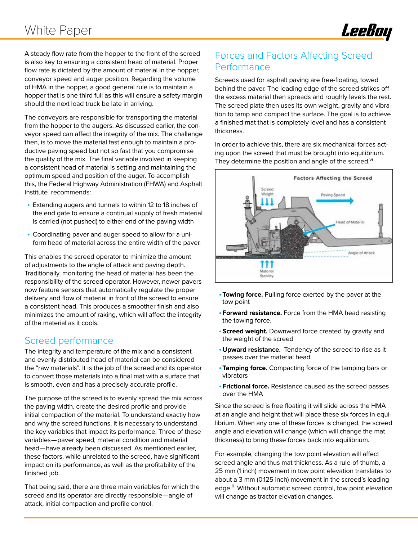

A steady flow rate from the hopper to the front of the screed is also key to ensuring a consistent head of material. Proper flow rate is dictated by the amount of material in the hopper, conveyor speed and auger position. Regarding the volume of HMA in the hopper, a good general rule is to maintain a hopper that is one third full as this will ensure a safety margin should the next load truck be late in arriving.

The conveyors are responsible for transporting the material from the hopper to the augers. As discussed earlier, the conveyor speed can affect the integrity of the mix. The challenge then, is to move the material fast enough to maintain a productive paving speed but not so fast that you compromise the quality of the mix. The final variable involved in keeping a consistent head of material is setting and maintaining the optimum speed and position of the auger. To accomplish this, the Federal Highway Administration (FHWA) and Asphalt Institute recommends:

- Extending augers and tunnels to within 12 to 18 inches of the end gate to ensure a continual supply of fresh material is carried (not pushed) to either end of the paving width
- Coordinating paver and auger speed to allow for a uniform head of material across the entire width of the paver.

This enables the screed operator to minimize the amount of adjustments to the angle of attack and paving depth. Traditionally, monitoring the head of material has been the responsibility of the screed operator. However, newer pavers now feature sensors that automatically regulate the proper delivery and flow of material in front of the screed to ensure a consistent head. This produces a smoother finish and also minimizes the amount of raking, which will affect the integrity of the material as it cools.

#### Screed performance

The integrity and temperature of the mix and a consistent and evenly distributed head of material can be considered the "raw materials". It is the job of the screed and its operator to convert those materials into a final mat with a surface that is smooth, even and has a precisely accurate profile.

The purpose of the screed is to evenly spread the mix across the paving width, create the desired profile and provide initial compaction of the material. To understand exactly how and why the screed functions, it is necessary to understand the key variables that impact its performance. Three of these variables—paver speed, material condition and material head—have already been discussed. As mentioned earlier, these factors, while unrelated to the screed, have significant impact on its performance, as well as the profitability of the finished job.

That being said, there are three main variables for which the screed and its operator are directly responsible—angle of attack, initial compaction and profile control.

#### Forces and Factors Affecting Screed **Performance**

Screeds used for asphalt paving are free-floating, towed behind the paver. The leading edge of the screed strikes off the excess material then spreads and roughly levels the rest. The screed plate then uses its own weight, gravity and vibration to tamp and compact the surface. The goal is to achieve a finished mat that is completely level and has a consistent thickness.

In order to achieve this, there are six mechanical forces acting upon the screed that must be brought into equilibrium. They determine the position and angle of the screed. $vi$ 



- •**Towing force.** Pulling force exerted by the paver at the tow point
- •**Forward resistance.** Force from the HMA head resisting the towing force.
- •**Screed weight.** Downward force created by gravity and the weight of the screed
- •**Upward resistance.** Tendency of the screed to rise as it passes over the material head
- •**Tamping force.** Compacting force of the tamping bars or vibrators
- •**Frictional force.** Resistance caused as the screed passes over the HMA

Since the screed is free floating it will slide across the HMA at an angle and height that will place these six forces in equilibrium. When any one of these forces is changed, the screed angle and elevation will change (which will change the mat thickness) to bring these forces back into equilibrium.

For example, changing the tow point elevation will affect screed angle and thus mat thickness. As a rule-of-thumb, a 25 mm (1 inch) movement in tow point elevation translates to about a 3 mm (0.125 inch) movement in the screed's leading edge.<sup>ii</sup> Without automatic screed control, tow point elevation will change as tractor elevation changes.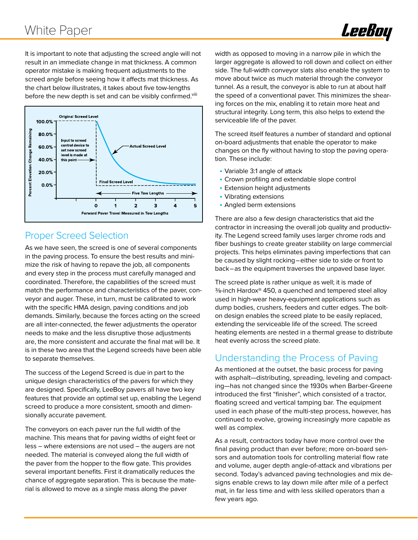

It is important to note that adjusting the screed angle will not result in an immediate change in mat thickness. A common operator mistake is making frequent adjustments to the screed angle before seeing how it affects mat thickness. As the chart below illustrates, it takes about five tow-lengths before the new depth is set and can be visibly confirmed.<sup>viii</sup>



#### Proper Screed Selection

As we have seen, the screed is one of several components in the paving process. To ensure the best results and minimize the risk of having to repave the job, all components and every step in the process must carefully managed and coordinated. Therefore, the capabilities of the screed must match the performance and characteristics of the paver, conveyor and auger. These, in turn, must be calibrated to work with the specific HMA design, paving conditions and job demands. Similarly, because the forces acting on the screed are all inter-connected, the fewer adjustments the operator needs to make and the less disruptive those adjustments are, the more consistent and accurate the final mat will be. It is in these two area that the Legend screeds have been able to separate themselves.

The success of the Legend Screed is due in part to the unique design characteristics of the pavers for which they are designed. Specifically, LeeBoy pavers all have two key features that provide an optimal set up, enabling the Legend screed to produce a more consistent, smooth and dimensionally accurate pavement.

The conveyors on each paver run the full width of the machine. This means that for paving widths of eight feet or less – where extensions are not used – the augers are not needed. The material is conveyed along the full width of the paver from the hopper to the flow gate. This provides several important benefits. First it dramatically reduces the chance of aggregate separation. This is because the material is allowed to move as a single mass along the paver

width as opposed to moving in a narrow pile in which the larger aggregate is allowed to roll down and collect on either side. The full-width conveyor slats also enable the system to move about twice as much material through the conveyor tunnel. As a result, the conveyor is able to run at about half the speed of a conventional paver. This minimizes the shearing forces on the mix, enabling it to retain more heat and structural integrity. Long term, this also helps to extend the serviceable life of the paver.

The screed itself features a number of standard and optional on-board adjustments that enable the operator to make changes on the fly without having to stop the paving operation. These include:

- Variable 3:1 angle of attack
- Crown profiling and extendable slope control
- Extension height adjustments
- Vibrating extensions
- Angled berm extensions

There are also a few design characteristics that aid the contractor in increasing the overall job quality and productivity. The Legend screed family uses larger chrome rods and fiber bushings to create greater stability on large commercial projects. This helps eliminates paving imperfections that can be caused by slight rocking–either side to side or front to back–as the equipment traverses the unpaved base layer.

The screed plate is rather unique as well; it is made of ⅜-inch Hardox® 450, a quenched and tempered steel alloy used in high-wear heavy-equipment applications such as dump bodies, crushers, feeders and cutter edges. The bolton design enables the screed plate to be easily replaced, extending the serviceable life of the screed. The screed heating elements are nested in a thermal grease to distribute heat evenly across the screed plate.

#### Understanding the Process of Paving

As mentioned at the outset, the basic process for paving with asphalt—distributing, spreading, leveling and compacting—has not changed since the 1930s when Barber-Greene introduced the first "finisher", which consisted of a tractor, floating screed and vertical tamping bar. The equipment used in each phase of the multi-step process, however, has continued to evolve, growing increasingly more capable as well as complex.

As a result, contractors today have more control over the final paving product than ever before; more on-board sensors and automation tools for controlling material flow rate and volume, auger depth angle-of-attack and vibrations per second. Today's advanced paving technologies and mix designs enable crews to lay down mile after mile of a perfect mat, in far less time and with less skilled operators than a few years ago.